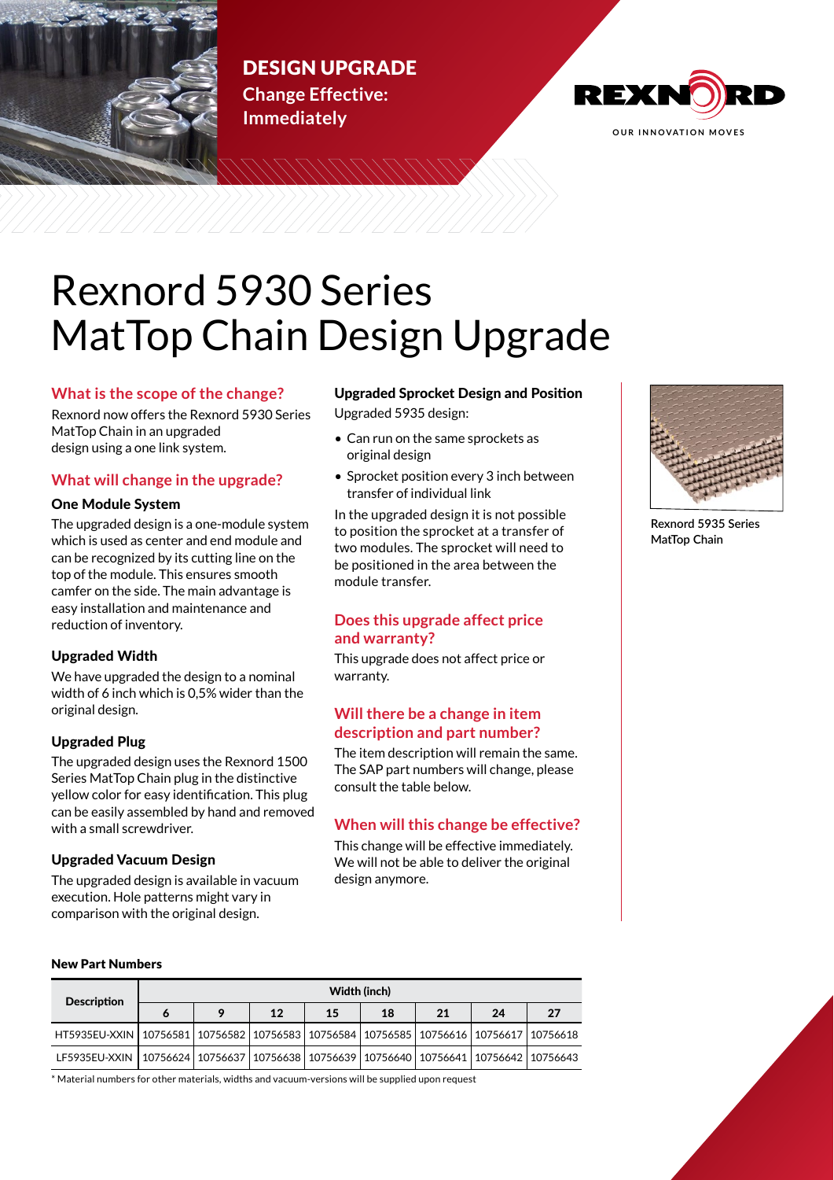

# DESIGN UPGRADE **Change Effective:**



# **Immediately**

# Rexnord 5930 Series MatTop Chain Design Upgrade

# **What is the scope of the change?**

Rexnord now offers the Rexnord 5930 Series MatTop Chain in an upgraded design using a one link system.

# **What will change in the upgrade?**

## One Module System

The upgraded design is a one-module system which is used as center and end module and can be recognized by its cutting line on the top of the module. This ensures smooth camfer on the side. The main advantage is easy installation and maintenance and reduction of inventory.

## Upgraded Width

We have upgraded the design to a nominal width of 6 inch which is 0,5% wider than the original design.

## Upgraded Plug

The upgraded design uses the Rexnord 1500 Series MatTop Chain plug in the distinctive yellow color for easy identification. This plug can be easily assembled by hand and removed with a small screwdriver.

## Upgraded Vacuum Design

The upgraded design is available in vacuum execution. Hole patterns might vary in comparison with the original design.

# Upgraded Sprocket Design and Position

Upgraded 5935 design:

- Can run on the same sprockets as original design
- Sprocket position every 3 inch between transfer of individual link

In the upgraded design it is not possible to position the sprocket at a transfer of two modules. The sprocket will need to be positioned in the area between the module transfer.

# **Does this upgrade affect price and warranty?**

This upgrade does not affect price or warranty.

# **Will there be a change in item description and part number?**

The item description will remain the same. The SAP part numbers will change, please consult the table below.

# **When will this change be effective?**

This change will be effective immediately. We will not be able to deliver the original design anymore.



**Rexnord 5935 Series MatTop Chain**

#### New Part Numbers

| <b>Description</b>                                                                                    | Width (inch) |         |    |    |    |    |    |    |
|-------------------------------------------------------------------------------------------------------|--------------|---------|----|----|----|----|----|----|
|                                                                                                       |              | $\circ$ | 12 | 15 | 18 | 21 | 24 | 27 |
| HT5935EU-XXIN   10756581   10756582   10756583   10756584   10756585   10756616   10756617   10756618 |              |         |    |    |    |    |    |    |
| LF5935EU-XXIN   10756624   10756637   10756638   10756639   10756640   10756641   10756642   10756643 |              |         |    |    |    |    |    |    |

\* Material numbers for other materials, widths and vacuum-versions will be supplied upon request